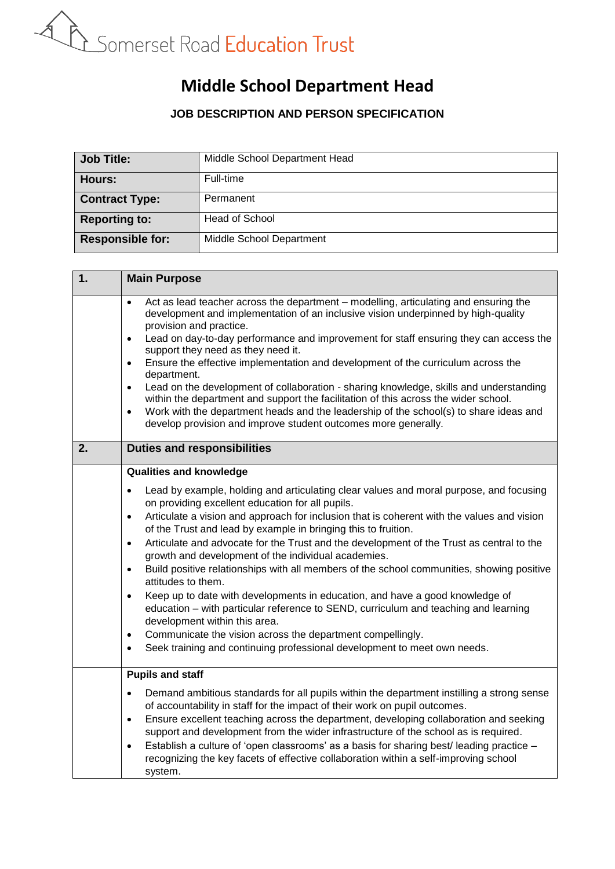

## **Middle School Department Head**

## **JOB DESCRIPTION AND PERSON SPECIFICATION**

| <b>Job Title:</b>       | Middle School Department Head |
|-------------------------|-------------------------------|
| Hours:                  | Full-time                     |
| <b>Contract Type:</b>   | Permanent                     |
| <b>Reporting to:</b>    | <b>Head of School</b>         |
| <b>Responsible for:</b> | Middle School Department      |

| 1. | <b>Main Purpose</b>                                                                                                                                                                                                                                                                                                                                                                                                                                                                                                                                                                                                                                                                                                                                                                                                                                 |  |
|----|-----------------------------------------------------------------------------------------------------------------------------------------------------------------------------------------------------------------------------------------------------------------------------------------------------------------------------------------------------------------------------------------------------------------------------------------------------------------------------------------------------------------------------------------------------------------------------------------------------------------------------------------------------------------------------------------------------------------------------------------------------------------------------------------------------------------------------------------------------|--|
|    | Act as lead teacher across the department – modelling, articulating and ensuring the<br>$\bullet$<br>development and implementation of an inclusive vision underpinned by high-quality<br>provision and practice.<br>Lead on day-to-day performance and improvement for staff ensuring they can access the<br>$\bullet$<br>support they need as they need it.<br>Ensure the effective implementation and development of the curriculum across the<br>$\bullet$<br>department.<br>Lead on the development of collaboration - sharing knowledge, skills and understanding<br>$\bullet$<br>within the department and support the facilitation of this across the wider school.<br>Work with the department heads and the leadership of the school(s) to share ideas and<br>$\bullet$<br>develop provision and improve student outcomes more generally. |  |
| 2. | <b>Duties and responsibilities</b>                                                                                                                                                                                                                                                                                                                                                                                                                                                                                                                                                                                                                                                                                                                                                                                                                  |  |
|    | <b>Qualities and knowledge</b>                                                                                                                                                                                                                                                                                                                                                                                                                                                                                                                                                                                                                                                                                                                                                                                                                      |  |
|    | Lead by example, holding and articulating clear values and moral purpose, and focusing<br>$\bullet$<br>on providing excellent education for all pupils.                                                                                                                                                                                                                                                                                                                                                                                                                                                                                                                                                                                                                                                                                             |  |
|    | Articulate a vision and approach for inclusion that is coherent with the values and vision<br>$\bullet$                                                                                                                                                                                                                                                                                                                                                                                                                                                                                                                                                                                                                                                                                                                                             |  |
|    | of the Trust and lead by example in bringing this to fruition.<br>Articulate and advocate for the Trust and the development of the Trust as central to the<br>$\bullet$                                                                                                                                                                                                                                                                                                                                                                                                                                                                                                                                                                                                                                                                             |  |
|    | growth and development of the individual academies.                                                                                                                                                                                                                                                                                                                                                                                                                                                                                                                                                                                                                                                                                                                                                                                                 |  |
|    | Build positive relationships with all members of the school communities, showing positive<br>$\bullet$<br>attitudes to them.                                                                                                                                                                                                                                                                                                                                                                                                                                                                                                                                                                                                                                                                                                                        |  |
|    | Keep up to date with developments in education, and have a good knowledge of<br>$\bullet$<br>education - with particular reference to SEND, curriculum and teaching and learning<br>development within this area.                                                                                                                                                                                                                                                                                                                                                                                                                                                                                                                                                                                                                                   |  |
|    | Communicate the vision across the department compellingly.<br>$\bullet$                                                                                                                                                                                                                                                                                                                                                                                                                                                                                                                                                                                                                                                                                                                                                                             |  |
|    | Seek training and continuing professional development to meet own needs.<br>$\bullet$                                                                                                                                                                                                                                                                                                                                                                                                                                                                                                                                                                                                                                                                                                                                                               |  |
|    | <b>Pupils and staff</b>                                                                                                                                                                                                                                                                                                                                                                                                                                                                                                                                                                                                                                                                                                                                                                                                                             |  |
|    | Demand ambitious standards for all pupils within the department instilling a strong sense<br>$\bullet$<br>of accountability in staff for the impact of their work on pupil outcomes.                                                                                                                                                                                                                                                                                                                                                                                                                                                                                                                                                                                                                                                                |  |
|    | Ensure excellent teaching across the department, developing collaboration and seeking<br>$\bullet$                                                                                                                                                                                                                                                                                                                                                                                                                                                                                                                                                                                                                                                                                                                                                  |  |
|    | support and development from the wider infrastructure of the school as is required.                                                                                                                                                                                                                                                                                                                                                                                                                                                                                                                                                                                                                                                                                                                                                                 |  |
|    | Establish a culture of 'open classrooms' as a basis for sharing best/ leading practice -<br>$\bullet$<br>recognizing the key facets of effective collaboration within a self-improving school                                                                                                                                                                                                                                                                                                                                                                                                                                                                                                                                                                                                                                                       |  |
|    | system.                                                                                                                                                                                                                                                                                                                                                                                                                                                                                                                                                                                                                                                                                                                                                                                                                                             |  |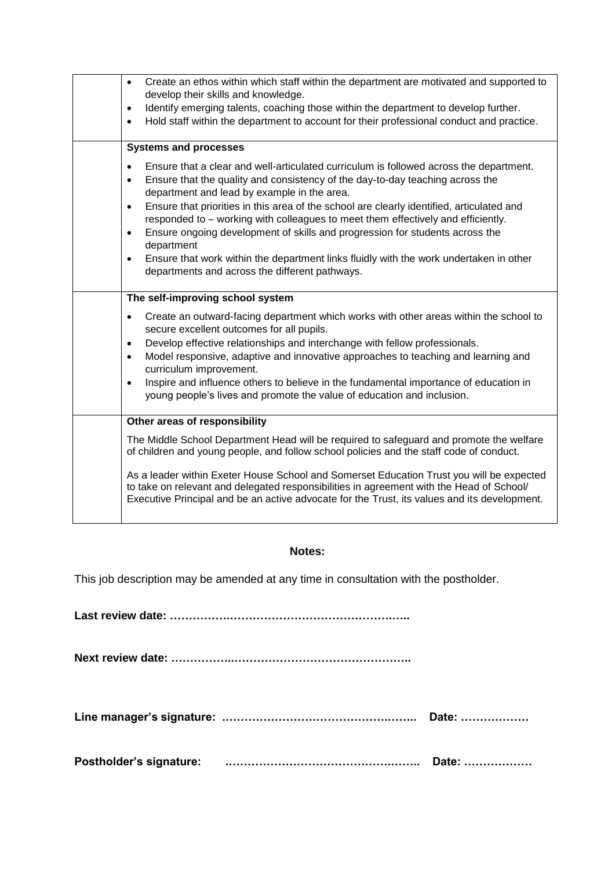| Create an ethos within which staff within the department are motivated and supported to<br>$\bullet$<br>develop their skills and knowledge.                                                                                                                                          |  |
|--------------------------------------------------------------------------------------------------------------------------------------------------------------------------------------------------------------------------------------------------------------------------------------|--|
| Identify emerging talents, coaching those within the department to develop further.<br>$\bullet$<br>Hold staff within the department to account for their professional conduct and practice.<br>$\bullet$                                                                            |  |
| <b>Systems and processes</b>                                                                                                                                                                                                                                                         |  |
| Ensure that a clear and well-articulated curriculum is followed across the department.<br>$\bullet$<br>Ensure that the quality and consistency of the day-to-day teaching across the<br>$\bullet$<br>department and lead by example in the area.                                     |  |
| Ensure that priorities in this area of the school are clearly identified, articulated and<br>$\bullet$<br>responded to - working with colleagues to meet them effectively and efficiently.                                                                                           |  |
| Ensure ongoing development of skills and progression for students across the<br>$\bullet$<br>department                                                                                                                                                                              |  |
| Ensure that work within the department links fluidly with the work undertaken in other<br>$\bullet$<br>departments and across the different pathways.                                                                                                                                |  |
| The self-improving school system                                                                                                                                                                                                                                                     |  |
| Create an outward-facing department which works with other areas within the school to<br>$\bullet$<br>secure excellent outcomes for all pupils.                                                                                                                                      |  |
| Develop effective relationships and interchange with fellow professionals.<br>$\bullet$                                                                                                                                                                                              |  |
| Model responsive, adaptive and innovative approaches to teaching and learning and<br>$\bullet$<br>curriculum improvement.                                                                                                                                                            |  |
| Inspire and influence others to believe in the fundamental importance of education in<br>$\bullet$<br>young people's lives and promote the value of education and inclusion.                                                                                                         |  |
| Other areas of responsibility                                                                                                                                                                                                                                                        |  |
| The Middle School Department Head will be required to safeguard and promote the welfare<br>of children and young people, and follow school policies and the staff code of conduct.                                                                                                   |  |
| As a leader within Exeter House School and Somerset Education Trust you will be expected<br>to take on relevant and delegated responsibilities in agreement with the Head of School/<br>Executive Principal and be an active advocate for the Trust, its values and its development. |  |

## **Notes:**

This job description may be amended at any time in consultation with the postholder.

**Last review date: …………….…………………………………….…..** 

**Next review date: ……………..………………………………………..** 

|  | Date: |
|--|-------|
|--|-------|

**Postholder's signature: .…………………………………….…….. Date: ………………**